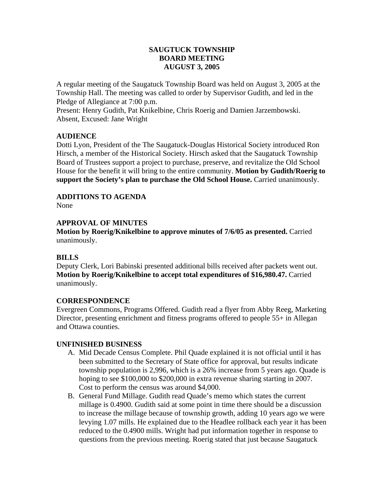## **SAUGTUCK TOWNSHIP BOARD MEETING AUGUST 3, 2005**

A regular meeting of the Saugatuck Township Board was held on August 3, 2005 at the Township Hall. The meeting was called to order by Supervisor Gudith, and led in the Pledge of Allegiance at 7:00 p.m.

Present: Henry Gudith, Pat Knikelbine, Chris Roerig and Damien Jarzembowski. Absent, Excused: Jane Wright

## **AUDIENCE**

Dotti Lyon, President of the The Saugatuck-Douglas Historical Society introduced Ron Hirsch, a member of the Historical Society. Hirsch asked that the Saugatuck Township Board of Trustees support a project to purchase, preserve, and revitalize the Old School House for the benefit it will bring to the entire community. **Motion by Gudith/Roerig to support the Society's plan to purchase the Old School House.** Carried unanimously.

**ADDITIONS TO AGENDA** 

None

# **APPROVAL OF MINUTES**

**Motion by Roerig/Knikelbine to approve minutes of 7/6/05 as presented.** Carried unanimously.

# **BILLS**

Deputy Clerk, Lori Babinski presented additional bills received after packets went out. **Motion by Roerig/Knikelbine to accept total expenditures of \$16,980.47.** Carried unanimously.

# **CORRESPONDENCE**

Evergreen Commons, Programs Offered. Gudith read a flyer from Abby Reeg, Marketing Director, presenting enrichment and fitness programs offered to people 55+ in Allegan and Ottawa counties.

### **UNFINISHED BUSINESS**

- A. Mid Decade Census Complete. Phil Quade explained it is not official until it has been submitted to the Secretary of State office for approval, but results indicate township population is 2,996, which is a 26% increase from 5 years ago. Quade is hoping to see \$100,000 to \$200,000 in extra revenue sharing starting in 2007. Cost to perform the census was around \$4,000.
- B. General Fund Millage. Gudith read Quade's memo which states the current millage is 0.4900. Gudith said at some point in time there should be a discussion to increase the millage because of township growth, adding 10 years ago we were levying 1.07 mills. He explained due to the Headlee rollback each year it has been reduced to the 0.4900 mills. Wright had put information together in response to questions from the previous meeting. Roerig stated that just because Saugatuck